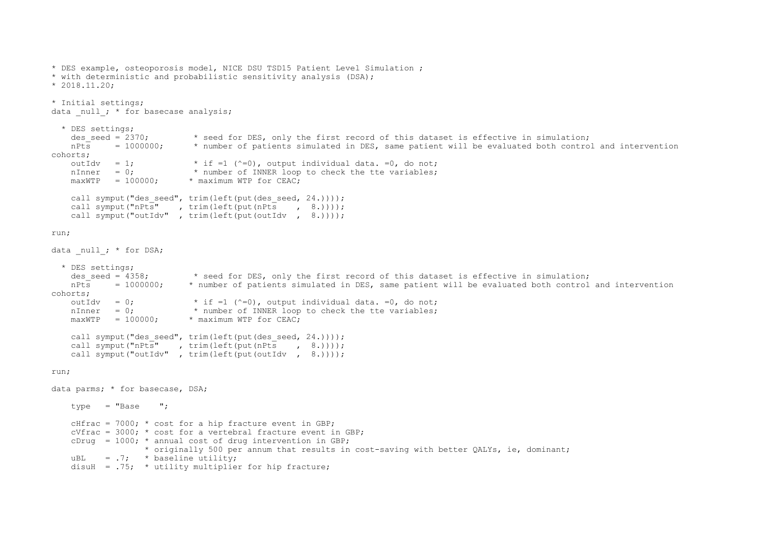```
* DES example, osteoporosis model, NICE DSU TSD15 Patient Level Simulation ;
* with deterministic and probabilistic sensitivity analysis (DSA);
* 2018.11.20;
* Initial settings;
data null; * for basecase analysis;
   * DES settings;
    des seed = 2370; * seed for DES, only the first record of this dataset is effective in simulation;
     nPts = 1000000; * number of patients simulated in DES, same patient will be evaluated both control and intervention 
cohorts;
    outIdv = 1; * if =1 (^{\circ}=0), output individual data. =0, do not;
    nInner = 0; * number of INNER loop to check the tte variables;
    maxWTP = 100000; * maximum WTP for CEAC;
    call symput("des seed", trim(left(put(des seed, 24.))));
    call symput("nPts", trim(left(put(nPts, 8.))));
    call symput("outIdv", trim(left(put(outIdv, 8.))));
run;
data null ; * for DSA;
   * DES settings;
    des_seed = 4358; * seed for DES, only the first record of this dataset is effective in simulation;<br>nPts = 1000000; * number of patients simulated in DES, same patient will be evaluated both control
                            * number of patients simulated in DES, same patient will be evaluated both control and intervention
cohorts;
    outIdv = 0; * if =1 (^{\sim}=0), output individual data. =0, do not;
    nInner = 0; * number of INNER loop to check the tte variables;
    maxWTP = 100000; * maximum WTP for CEAC;
    call symput("des_seed", trim(left(put(des_seed, 24.))));<br>call symput("nPts", trim(left(put(nPts, 8.))));
                         , trim(left(put(nPts , 8.))));
    call symput("outIdv", trim(left(put(outIdv, 8.))));
run;
data parms; * for basecase, DSA;
    type = "Base ";cHfrac = 7000; * cost for a hip fracture event in GBP;
    cVfrac = 3000; * cost for a vertebral fracture event in GBP;
    cDrug = 1000; * annual cost of drug intervention in GBP;
                    * originally 500 per annum that results in cost-saving with better QALYs, ie, dominant;
    uBL = .7; * baseline utility;
    disuH = .75; * utility multiplier for hip fracture;
```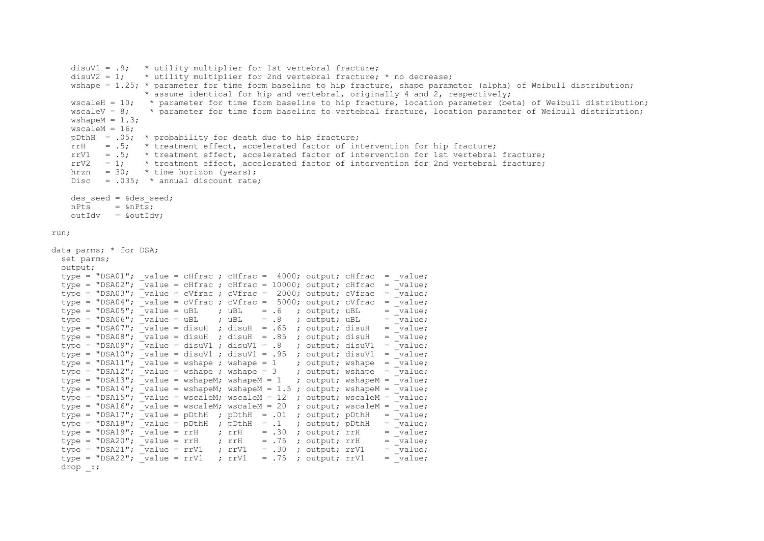```
 disuV1 = .9; * utility multiplier for 1st vertebral fracture;
    disuV2 = 1; \star utility multiplier for 2nd vertebral fracture; \star no decrease;
    wshape = 1.25; * parameter for time form baseline to hip fracture, shape parameter (alpha) of Weibull distribution;
                    * assume identical for hip and vertebral, originally 4 and 2, respectively;
     wscaleH = 10; * parameter for time form baseline to hip fracture, location parameter (beta) of Weibull distribution;
    wscaleV = 8; * parameter for time form baseline to vertebral fracture, location parameter of Weibull distribution;
    wshapeM = 1.3;
    wscaleM = 16;
    pDthH = .05; * probability for death due to hip fracture;rrH = .5; * treatment effect, accelerated factor of intervention for hip fracture;
    rrV1 = .5; * treatment effect, accelerated factor of intervention for 1st vertebral fracture;
    rrV2 = 1; * treatment effect, accelerated factor of intervention for 2nd vertebral fracture;
    hrzn = 30; * time horizon (years);
    Disc = .035; * annual discount rate;
    des seed = \&des seed:
    nPts = \omega Pts;outIdv = koutIdv:
run;
data parms; * for DSA;
   set parms;
   output;
  type = "DSA01"; value = cHfrac ; cHfrac = 4000; output; cHfrac = value;
  type = "DSA02"; \bar{ } value = cHfrac ; cHfrac = 10000; output; cHfrac = \bar{ } value;
  type = "DSA03"; \bar{v} value = cVfrac ; cVfrac = 2000; output; cVfrac = \bar{v}value;
type = "DSA04"; value = cVfrac ; cVfrac = 5000; output; cVfrac = value;
type = "DSA05"; value = uBL ; uBL = .6 ; output; uBL = value;
  type = "DSA06"; value = uBL ; uBL = .8 ; output; uBL = value;type = "DSA07"; \bar{v} value = disuH ; disuH = .65 ; output; disuH = \bar{v} value;
  type = "DSA08"; value = disuH ; disuH = .85 ; output; disuH = value;
  type = "DSA09"; value = disuv1; disuV1 = .8 ; output; disuV1 = value;
  type = "DSA10"; value = disuV1 ; disuV1 = .95 ; output; disuV1 = value;
type = "DSA11"; value = wshape ; wshape = 1 ; output; wshape = value;
type = "DSA12"; value = wshape ; wshape = 3 ; output; wshape = value;
  type = "DSA13"; \bar{v} value = wshapeM; wshapeM = 1 ; output; wshapeM = \bar{v} value;
  type = "DSA14"; \overline{\phantom{a}} value = wshapeM; wshapeM = 1.5; output; wshapeM = \overline{\phantom{a}} value;
  type = "DSA15"; \overline{\phantom{a}} value = wscaleM; wscaleM = 12 ; output; wscaleM = \overline{\phantom{a}} value;
  type = "DSA16"; \overline{v} value = wscaleM; wscaleM = 20 ; output; wscaleM = \overline{v} value;
  type = "DSA17"; \bar{v}value = pDthH ; pDthH = .01 ; output; pDthH = \bar{v}value;
  type = "DSA18"; \bar{v} value = pDthH ; pDthH = .1 ; output; pDthH = \bar{v} value;
  type = "DSA19", \quad value = r rH ; \quad r rH = .30 ; \quad output; \quad r rH = value;type = "DSA20"; \bar{v}value = rrH ; rrH = .75 ; output; rrH = \bar{v}value;
  type = "DSA21"; varV1 = rV1 ; rrV1 = .30 ; output; rrV1 = \overline{value};
  type = "DSA22"; \bar{v} value = rrV1 ; rrV1 = .75 ; output; rrV1 = \bar{v}alue;
   drop _:;
```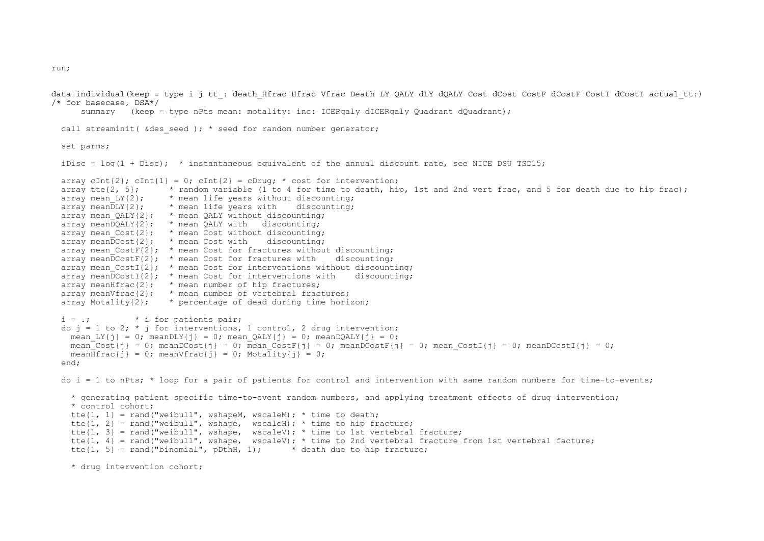data individual(keep = type i j tt : death Hfrac Hfrac Vfrac Death LY OALY dLY dOALY Cost dCostF dCostF CostI dCostI actual tt:) /\* for basecase, DSA\*/

summary (keep = type nPts mean: motality: inc: ICERqaly dICERqaly Quadrant dQuadrant);

```
call streaminit( \& des seed ); * seed for random number generator;
```
set parms;

```
iDisc = log(1 + Disc); * instantaneous equivalent of the annual discount rate, see NICE DSU TSD15;
```

```
array cInt{2}; cInt{1} = 0; cInt{2} = cDrug; * cost for intervention;
array tte{2, 5}; * random variable (1 to 4 for time to death, hip, 1st and 2nd vert frac, and 5 for death due to hip frac);
array mean LY{2}: * mean life years without discounting:
array mean \text{DLY}\{2\}; * mean life years with discounting;
array mean QALY{2}; * mean QALY without discounting;
\overline{\text{array}} mean\overline{\text{DQALY}}{2}; * mean QALY with discounting;
array mean Cost\{2\}; * mean Cost without discounting;
\arctan mean\overline{DCost}\: * mean Cost with discounting;
array mean_CostF{2}; * mean Cost for fractures without discounting;<br>array meanDCostF{2}; * mean Cost for fractures with discounting;
array meanDCostF{2}; * mean Cost for fractures with
array mean CostI{2}; * mean Cost for interventions without discounting;
array meanDCost1{2}; * mean Cost for interventions with discounting;
array meanHfrac\{2\}; * mean number of hip fractures;
array meanVfrac{2}; * mean number of vertebral fractures;
array Motality\{2\}; * percentage of dead during time horizon;
i = .; * i for patients pair;
do j = 1 to 2; * j for interventions, 1 control, 2 drug intervention;
  mean LY{j} = 0; meanDLY{j} = 0; mean OALY{j} = 0; meanDOALY{j} = 0;
  mean<sup>\overline{\text{Cost}}{j} = 0; meanDCost{j} = 0; mean CostF{j} = 0; meanDCostF{j} = 0; mean CostI{j} = 0; meanDCostI{j} = 0;</sup>
  mean\overline{H}frac{j} = 0; meanVfrac{j} = 0; Motality{j} = 0;
 end;
do i = 1 to nPts; * loop for a pair of patients for control and intervention with same random numbers for time-to-events;
   * generating patient specific time-to-event random numbers, and applying treatment effects of drug intervention;
   * control cohort;
  tte\{1, 1\} = rand("weibull", wshapeM, wscaleM); * time to death;
  tte\{1, 2\} = rand("weibull", wshape, wscaleH); * time to hip fracture;
  tte\{1, 3\} = rand("weibull", wshape, wscaleV); * time to 1st vertebral fracture;
  tte{1, 4} = rand("weibull", wshape, wscaleV); * time to 2nd vertebral fracture from 1st vertebral facture;
  tte\{1, 5\} = rand ("binomial", pDthH, 1); * death due to hip fracture;
```

```
 * drug intervention cohort;
```
run;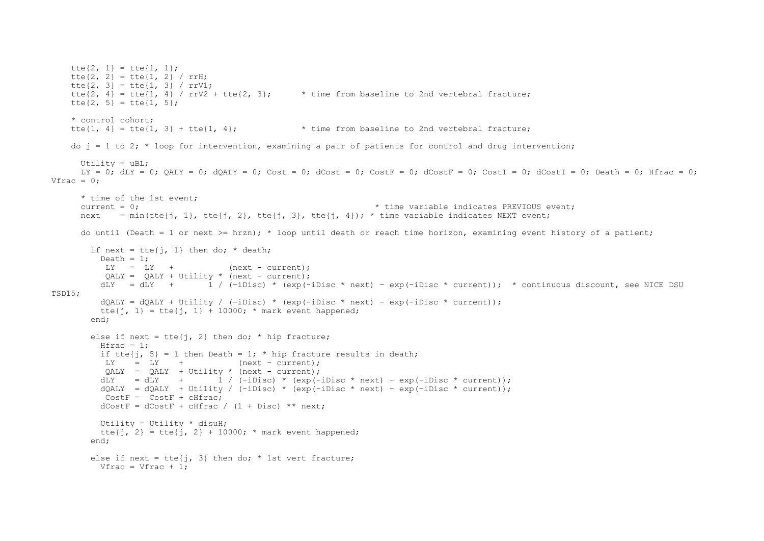```
tte\{2, 1\} = tte\{1, 1\};
   tte\{2, 2\} = tte\{1, 2\} / rrH;
   tte\{2, 3\} = tte\{1, 3\} / rrV1;
   tte{2, 4} = tte{1, 4} / rrV2 + tte{2, 3}; * time from baseline to 2nd vertebral fracture;
   tte\{2, 5\} = tte\{1, 5\};
    * control cohort;
   tte{1, 4} = tte{1, 3} + tte{1, 4}; \star time from baseline to 2nd vertebral fracture;
   do j = 1 to 2; * loop for intervention, examining a pair of patients for control and drug intervention;
     Utility = uBL:
     LY = 0; dLY = 0; QALY = 0; dQALY = 0; Cost = 0; dCost = 0; CostF = 0; dCostF = 0; CostI = 0; dCostI = 0; Death = 0; Hfrac = 0;
Vfrac = 0:
      * time of the 1st event;
     current = 0; \bullet time variable indicates PREVIOUS event;
     next = min(tte{j, 1}, tte{j, 2}, tte{j, 3}, tte{j, 4}); * time variable indicates NEXT event;
     do until (Death = 1 or next >= hrzn); * loop until death or reach time horizon, examining event history of a patient;
       if next = tte\{i, 1\} then do; * death;
         Death = 1;
         LY = LY + (next - current);
          OALY = OALY + Utility * (next - current);dLY = dLY + 1 / (-iDisc) * (exp(-iDisc * next) - exp(-iDisc * current)); * continuous discount, see NICE DSU
TSD15;
         dQALY = dQALY + Utility / (-iDisc) * (exp(-iDisc * next) - exp(-iDisc * current));tte{i, 1} = tte{i, 1} + 10000; * mark event happened;
        end;
       else if next = tte\{i, 2\} then do; * hip fracture;
         Hfrac = 1:
         if tte{j, 5} = 1 then Death = 1; * hip fracture results in death;
         LY = LY + (next - current);
          OALY = QALY + Utility * (next - current);
         dLY = dLY + 1 / (-iDisc) * (exp(-iDisc * next) - exp(-iDisc * current));dQALY = dQALY + Utility / (-iDisc) * (exp(-iDisc * next) - exp(-iDisc * current));
         CostF = CostF + cHfracdCostF = dCostF + cHfrac / (1 + Disc) ** next;
         Utility = Utility * disuH;
         tte{i, 2} = tte{i, 2} + 10000; * mark event happened;
        end;
       else if next = tte\{\dagger, 3\} then do; * 1st vert fracture;
        Vfrac = Vfrac + 1:
```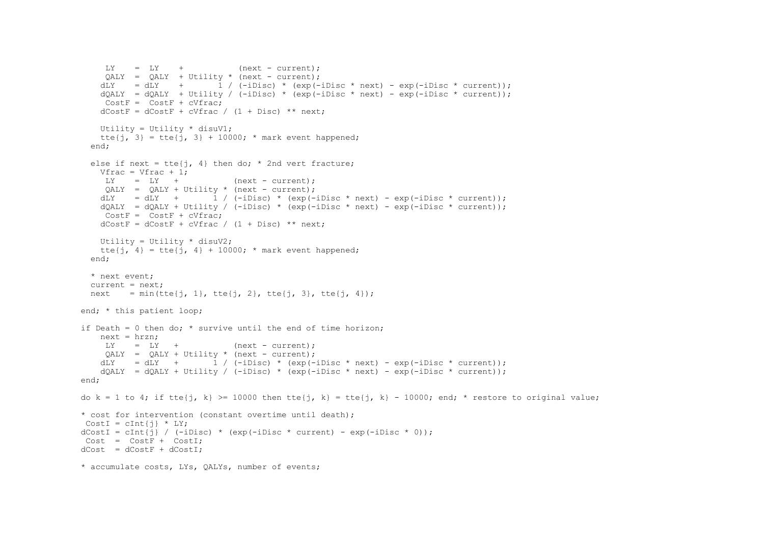```
LY = LY + (next - current);
    OALY = OALY + Utility * (next - current);dLY = dLY + \frac{1}{1} / (-iDisc) * (exp(-iDisc * next) - exp(-iDisc * current));
   dOALY = dOALY + Utility / (-iDisc) * (exp(-iDisc * next) - exp(-iDisc * current));
    CostF = CostF + cVfracdCostF = dCostF + cVfrac / (1 + Disc) * mext; Utility = Utility * disuV1;
   tte\{j, 3\} = tte\{j, 3\} + 10000; * mark event happened;
  end;
  else if next = tte\{\dagger, 4\} then do; * 2nd vert fracture;
   Vfrac = Vfrac + 1;
    LY = LY + (next - current);
    QALY = QALY + Utility * (next - current);dLY = dLY + 1 / (-iDisc) * (exp(-iDisc * next) - exp(-iDisc * current));
   dOALY = dOALY + Utility / (-iDisc) * (exp(-iDisc * next) - exp(-iDisc * current));
    CostF = CostF + cVfrac{1}{2}dCostF = dCostF + cVfrac / (1 + Disc) * mext; Utility = Utility * disuV2;
   tte{j, 4} = tte{j, 4} + 10000; * mark event happened;
  end;
   * next event;
  current = next:next = min(tte{j, 1}, tte{j, 2}, tte{j, 3}, tte{j, 4});
end; * this patient loop;
if Death = 0 then do; * survive until the end of time horizon;
    next = hrzn;
    LY = LY + (next - current);
    QALY = QALY + Utility * (next - current);dLY = dLY + 1 / (-iDisc) * (exp(-iDisc * next) - exp(-iDisc * current));
   dOALY = dOALY + Utility / (-iDisc) * (exp(-iDisc * next) - exp(-iDisc * current));
 end; 
do k = 1 to 4; if tte{j, k} >= 10000 then tte{j, k} = tte{j, k} - 10000; end; * restore to original value;
 * cost for intervention (constant overtime until death);
CostI = cInt[i] * LY;dCostI = cInt\{\hat{i}\} / (-iDisc) * (exp(-iDisc * current) - exp(-iDisc * 0));
Cost = CostF + CostI;dCost = dCostF + dCostI;
 * accumulate costs, LYs, QALYs, number of events;
```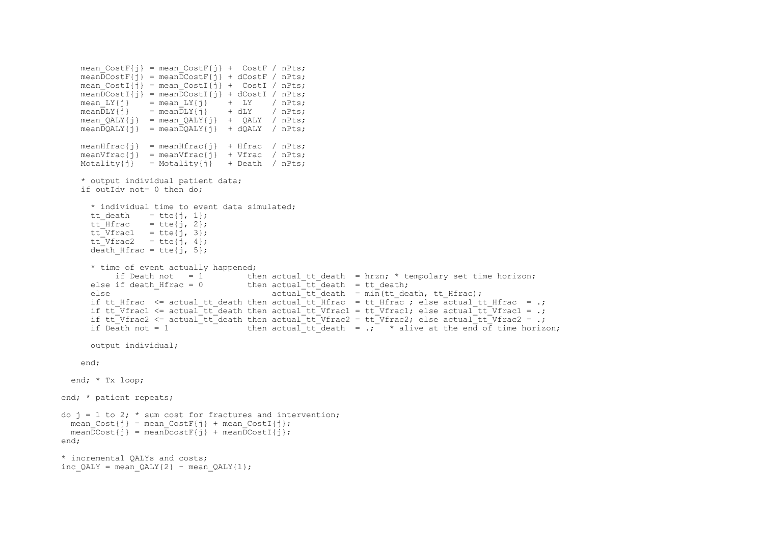```
mean CostF{i} = mean CostF{i} + CostF / nPts;
    mean\overline{DC}costF\{\overline{i}\} = mean\overline{DC}ostF\{\overline{i}\} + dCostF / nPts;
    mean CostI{j} = mean CostI{j} + CostI / nPts;
    mean\overline{DCostI\{i\}} = mean\overline{DCostI\{i\}} + dCostI / nPts;mean LY{j} = mean LY{j} + LY / nPts;
    mean\overline{DLY}\left\{\frac{1}{1}\right\} = mean\overline{DLY}\left\{\frac{1}{1}\right\} + dLY / nPts;
    mean QALY{j} = mean QALY{j} + QALY / nPts;
    meanDQALY{j} = meanDQALY{j} + dQALY / nPts;
    meanHfrac{j} = meanHfrac{j} + Hfrac / nPts;
    meanVfrac{\{i\}} = meanVfrac{\{i\}} + Vfrac / nPts;
    Motality = Motality\{j\} + Death / nPts;
     * output individual patient data;
     if outIdv not= 0 then do;
        * individual time to event data simulated;
      tt death = tte{j, 1};
      ttHfracHfrac= tte{i}, 2};
      tt Vfrac1 = tte{i, 3};
      tt Vfrac2 = tte{i, 4};
       death Hfrac = tte\{j, 5\}; * time of event actually happened;
       if Death not = 1 then actual_tt_death = hrzn; * tempolary set time horizon;<br>else if death Hfrac = 0 then actual_tt_death = tt_death;
                                            then actual^-tt<sup>-</sup>death = tt_death;
       else \overline{a} actual tt death = min(tt death, tt Hfrac);
      if tt Hfrac \leq actual tt death then actual tt Hfrac = tt Hfrac ; else actual tt Hfrac = .;
      if tt<sup>T</sup>Vfrac1 \leq actual<sup>-tt</sup> death then actual<sup>-tt-</sup>Vfrac1 = tt<sup>T</sup>Vfrac1; else actual<sup>-tt-</sup>Vfrac1 = .;
      if tt<sup>-</sup>Vfrac2 <= actual<sup>-tt-</sup>death then actual<sup>-tt-</sup>Vfrac2 = tt<sup>-</sup>Vfrac2; else actual<sup>-tt-</sup>Vfrac2 = .;
      if Death not = 1 \overline{a} then actual to death = \overline{a}; * alive at the end of time horizon;
       output individual;
     end; 
   end; * Tx loop;
 end; * patient repeats;
do j = 1 to 2; * sum cost for fractures and intervention;
  mean Cost{j} = mean CostF{j} + mean CostI{j};
  meanDCost{i} = meanDcost[i] + meanDcost[i];
 end;
 * incremental QALYs and costs;
inc QALY = mean QALY{2} - mean QALY{1};
```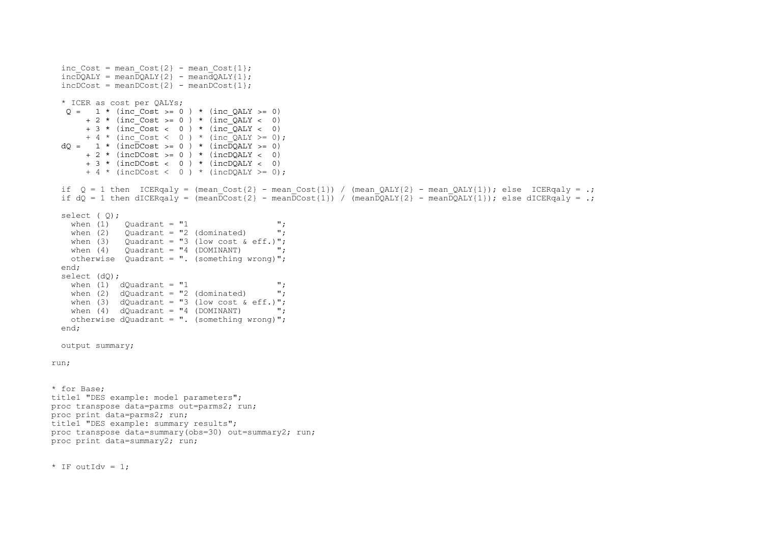```
inc Cost = mean Cost\{2\} - mean Cost\{1\};inc\overline{DOALY} = mean\overline{DOALY}{2} - meand\overline{OOLY}{1};
  incDCost = meanDCost{2} - meanDCost{1}; * ICER as cost per QALYs;
   Q = 1 * (inc Cost > = 0) * (inc QALY > = 0)+ 2 * (inc Cost >= 0 ) * (inc_OALY < 0)
       + 3 * (inc \circ Cost \leq 0) * (inc \circ QALY \leq 0)+ 4 * (inc Cost < 0) * (inc OALY > = 0);
  dQ = 1 * (incDCost \ge 0) * (incDQALY \ge 0)+ 2 * (incDCost \ge 0) * (incDOALY < 0)+ 3 * (incDCost < 0 ) * (incDQALY < 0)+ 4 * (incDCost < 0 ) * (incDQALY >= 0);
  if Q = 1 then ICERgaly = (mean Cost{2} - mean Cost{1}) / (mean QALY{2} - mean QALY{1}); else ICERgaly = .;
  if dQ = 1 then dICERqaly = (mean\overline{D}cost{2} - mean\overline{D}cost{1}) / (mean\overline{D}QALY{2} - mean\overline{D}QALY{1}); else dICERqaly = .;
   select ( Q);
    when (1) Quadrant = "1 ";when (2) Ouadrant = "2 (dominated) ";
    when (3) Ouadrant = "3 (low cost & eff.)";
    when (4) Ouadrant = "4 (DOMINANT) ";
     otherwise Quadrant = ". (something wrong)";
   end;
  select (dQ);
    when (1) dOuadrant = "1 '';
    when (2) dQuadrant = "2 (dominated) ";
    when (3) dQuadrant = "3 (low cost \& eff.)";
    when (4) dOuadrant = "4 (DOMINANT)
     otherwise dQuadrant = ". (something wrong)";
   end;
   output summary;
run;
* for Base;
title1 "DES example: model parameters";
proc transpose data=parms out=parms2; run;
proc print data=parms2; run;
title1 "DES example: summary results";
proc transpose data=summary(obs=30) out=summary2; run;
proc print data=summary2; run;
* IF outIdy = 1:
```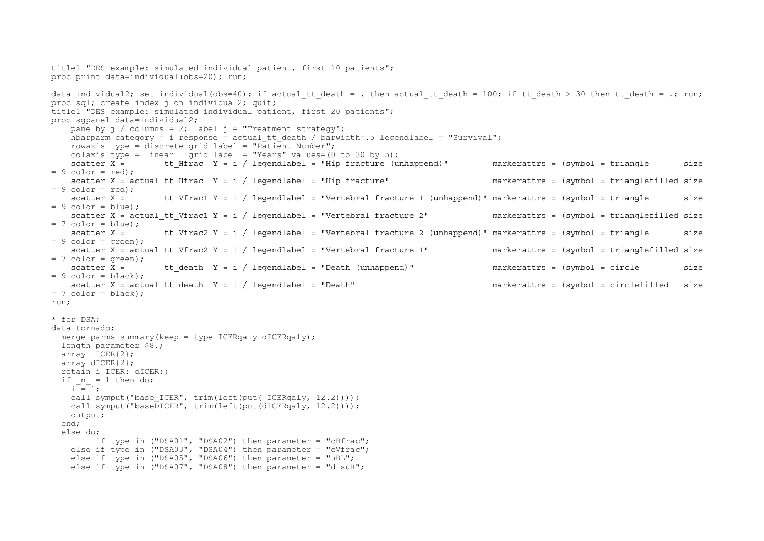```
title1 "DES example: simulated individual patient, first 10 patients";
proc print data=individual(obs=20); run;
data individual2; set individual(obs=40); if actual tt death = . then actual tt death = 100; if tt death > 30 then tt death = .; run;
proc sql; create index j on individual2; quit;
title1 "DES example: simulated individual patient, first 20 patients";
proc sgpanel data=individual2;
   panelby j / colums = 2; label j = "Treatment strategy";
   hbarparm category = i response = actual tt death / barwidth=.5 legendlabel = "Survival";
   rowaxis type = discrete grid label = "Patient Number";
   colaxis type = linear grid label = "Years" values=(0 \text{ to } 30 \text{ by } 5);
   scatter X = tt Hfrac Y = i / legendlabel = "Hip fracture (unhappend)" markerattrs = (symbol = triangle size
= 9 color = red);
   scatter X = actual tt Hfrac Y = i / legendlabel = "Hip fracture" markerattrs = (symbol = trianglefilled size
= 9 color = red):
   scatter X = tt Vfrac1 Y = i / legendlabel = "Vertebral fracture 1 (unhappend)" markerattrs = (symbol = triangle size
= 9 color = blue);
   scatter X = actual tt Vfrac1 Y = i / legendlabel = "Vertebral fracture 2" markerattrs = (symbol = trianglefilled size
= 7 color = blue);
   scatter X = tt Vfrac2 Y = i / legendlabel = "Vertebral fracture 2 (unhappend)" markerattrs = (symbol = triangle size
= 9 color = |reen) :
   scatter X = actual tt Vfrac2 Y = i / legendlabel = "Vertebral fracture 1" markerattrs = (symbol = trianglefilled size
= 7 color = green);
   scatter X = tt death Y = i / legendlabel = "Death (unhappend)" markerattrs = (symbol = circle size
= 9 color = black):
   scatter X = actual tt death Y = i / legendlabel = "Death" markerattrs = (symbol = circlefilled size
= 7 color = black):
run; 
* for DSA;
data tornado;
 merge parms summary(keep = type ICERgaly dICERgaly);
  length parameter $8.;
  array ICER{2};
  array dICER{2};
   retain i ICER: dICER:;
  if n = 1 then do;
   i = 1;
   call symput("base ICER", trim(left(put( ICERqaly, 12.2))));
   call symput("baseDICER", trim(left(put(dICERqaly, 12.2))));
    output;
  end;
   else do;
         if type in ("DSA01", "DSA02") then parameter = "cHfrac";
    else if type in ("DSA03", "DSA04") then parameter = "cVfrac";
   else if type in ("DSA05", "DSA06") then parameter = "uBL";
    else if type in ("DSA07", "DSA08") then parameter = "disuH";
```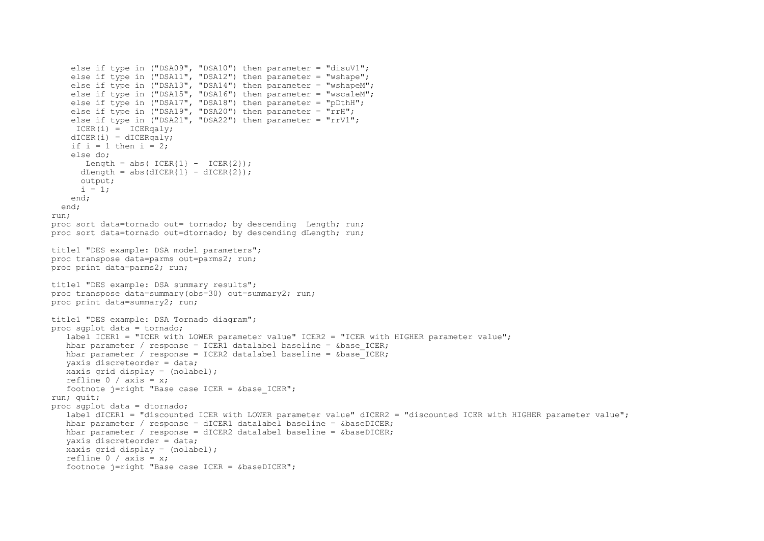```
else if type in ("DSA09", "DSA10") then parameter = "disuV1";
    else if type in ("DSA11", "DSA12") then parameter = "wshape";
    else if type in ("DSA13", "DSA14") then parameter = "wshapeM";
    else if type in ("DSA15", "DSA16") then parameter = "wscaleM";
    else if type in ("DSA17", "DSA18") then parameter = "pDthH";
    else if type in ( "DSA19", "DSA20") then parameter = "rrH";
    else if type in ("DSA21", "DSA22") then parameter = "rrV1";
    ICER(i) = ICERqaly;dICER(i) = dICERqaly;if i = 1 then i = 2;
     else do;
      Length = abs(ICER{1} - ICER{2});
     dLength = abs(dICER\{1\} - dICER\{2\});
     output:
     i = 1;
     end;
  end;
run;
proc sort data=tornado out= tornado; by descending Length; run;
proc sort data=tornado out=dtornado; by descending dLength; run;
title1 "DES example: DSA model parameters";
proc transpose data=parms out=parms2; run;
proc print data=parms2; run;
title1 "DES example: DSA summary results";
proc transpose data=summary(obs=30) out=summary2; run;
proc print data=summary2; run;
title1 "DES example: DSA Tornado diagram";
proc sgplot data = tornado;
  label ICER1 = "ICER with LOWER parameter value" ICER2 = "ICER with HIGHER parameter value";
   hbar parameter / response = ICER1 datalabel baseline = \&base ICER;
  hbar parameter / response = ICER2 datalabel baseline = \&\text{base} ICER;
    yaxis discreteorder = data;
  xaxis grid display = (nolabel);
   refline 0 / axis = x; footnote j=right "Base case ICER = &base_ICER";
run; quit;
proc sgplot data = dtornado;
   label dICER1 = "discounted ICER with LOWER parameter value" dICER2 = "discounted ICER with HIGHER parameter value";
  hbar parameter / response = dICER1 datalabel baseline = \&baseDICER;
   hbar parameter / response = dICER2 datalabel baseline = \&baseDICER;
    yaxis discreteorder = data;
   xaxis grid display = (nolabel);
   refline 0 / axis = x; footnote j=right "Base case ICER = &baseDICER";
```